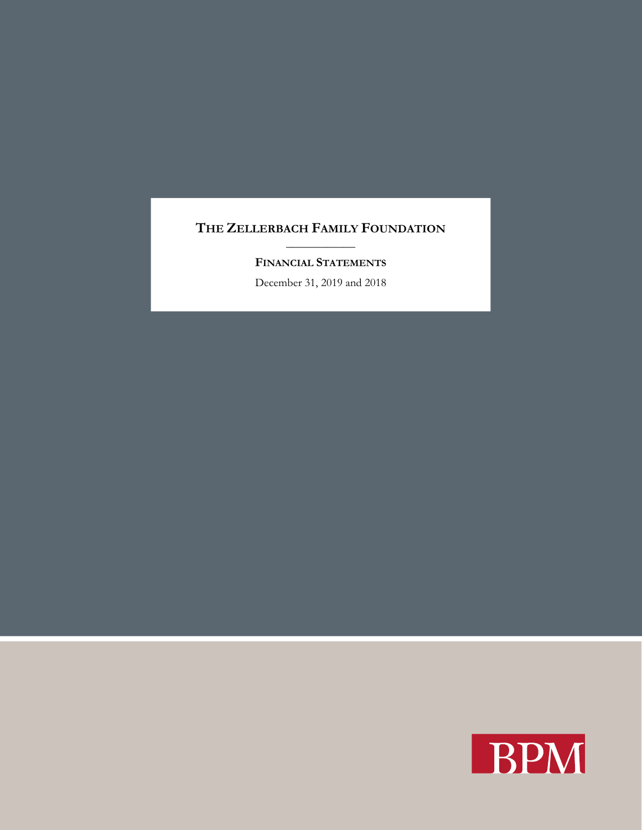# **THE ZELLERBACH FAMILY FOUNDATION**  $\frac{1}{2}$

**FINANCIAL STATEMENTS** December 31, 2019 and 2018

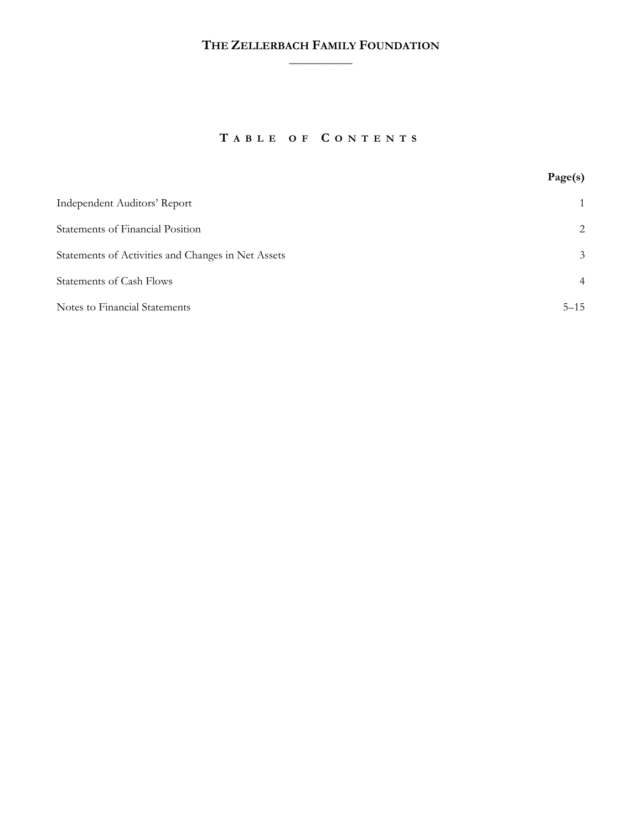## **THE ZELLERBACH FAMILY FOUNDATION**  $\frac{1}{2}$

# **T ABLE OF C ONTENTS**

|                                                    | Page(s)        |
|----------------------------------------------------|----------------|
| <b>Independent Auditors' Report</b>                | $\mathbf{1}$   |
| <b>Statements of Financial Position</b>            | 2              |
| Statements of Activities and Changes in Net Assets | 3              |
| <b>Statements of Cash Flows</b>                    | $\overline{4}$ |
| Notes to Financial Statements                      | $5 - 15$       |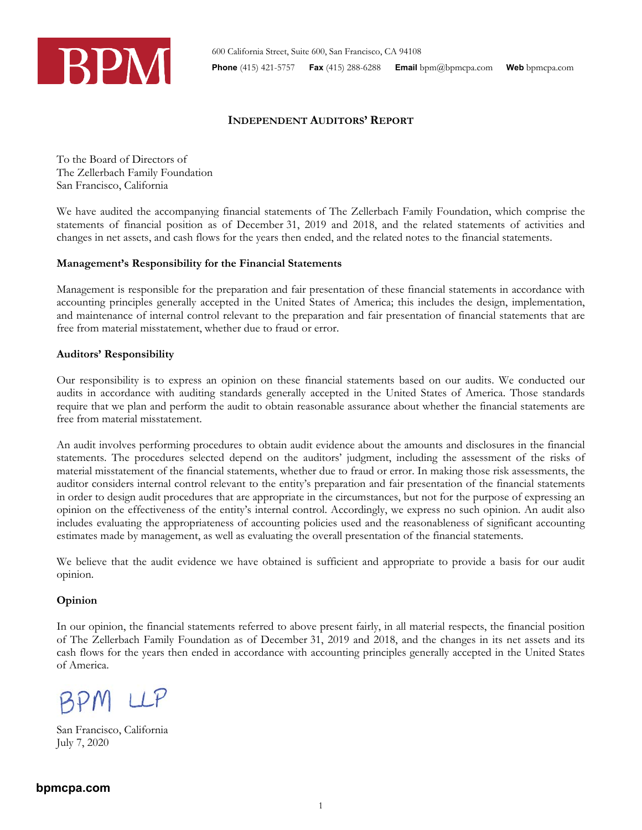

## **INDEPENDENT AUDITORS' REPORT**

To the Board of Directors of The Zellerbach Family Foundation San Francisco, California

We have audited the accompanying financial statements of The Zellerbach Family Foundation, which comprise the statements of financial position as of December 31, 2019 and 2018, and the related statements of activities and changes in net assets, and cash flows for the years then ended, and the related notes to the financial statements.

### **Management's Responsibility for the Financial Statements**

Management is responsible for the preparation and fair presentation of these financial statements in accordance with accounting principles generally accepted in the United States of America; this includes the design, implementation, and maintenance of internal control relevant to the preparation and fair presentation of financial statements that are free from material misstatement, whether due to fraud or error.

### **Auditors' Responsibility**

Our responsibility is to express an opinion on these financial statements based on our audits. We conducted our audits in accordance with auditing standards generally accepted in the United States of America. Those standards require that we plan and perform the audit to obtain reasonable assurance about whether the financial statements are free from material misstatement.

An audit involves performing procedures to obtain audit evidence about the amounts and disclosures in the financial statements. The procedures selected depend on the auditors' judgment, including the assessment of the risks of material misstatement of the financial statements, whether due to fraud or error. In making those risk assessments, the auditor considers internal control relevant to the entity's preparation and fair presentation of the financial statements in order to design audit procedures that are appropriate in the circumstances, but not for the purpose of expressing an opinion on the effectiveness of the entity's internal control. Accordingly, we express no such opinion. An audit also includes evaluating the appropriateness of accounting policies used and the reasonableness of significant accounting estimates made by management, as well as evaluating the overall presentation of the financial statements.

We believe that the audit evidence we have obtained is sufficient and appropriate to provide a basis for our audit opinion.

### **Opinion**

In our opinion, the financial statements referred to above present fairly, in all material respects, the financial position of The Zellerbach Family Foundation as of December 31, 2019 and 2018, and the changes in its net assets and its cash flows for the years then ended in accordance with accounting principles generally accepted in the United States of America.

San Francisco, California July 7, 2020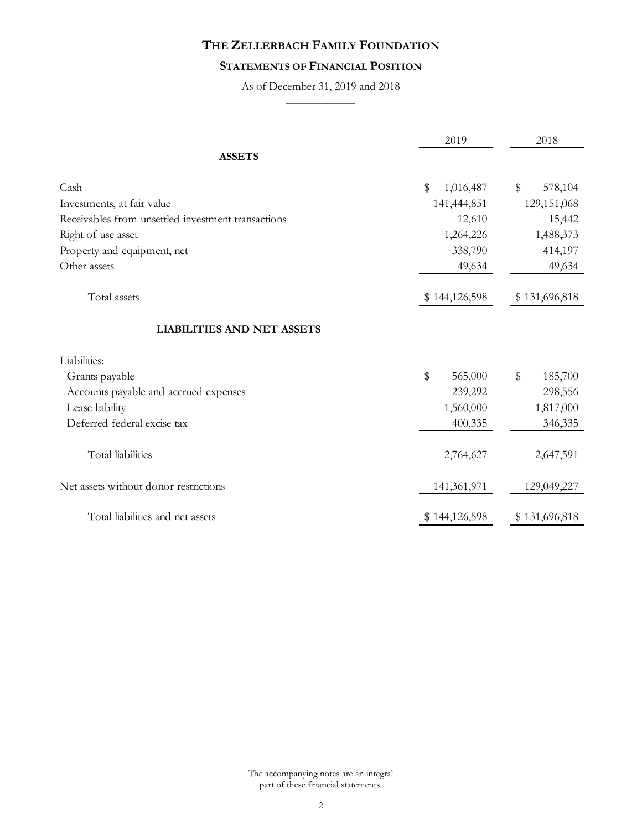# **STATEMENTS OF FINANCIAL POSITION**

As of December 31, 2019 and 2018  $\overline{\phantom{a}}$ 

|                                                    | 2019                     | 2018          |
|----------------------------------------------------|--------------------------|---------------|
| <b>ASSETS</b>                                      |                          |               |
| Cash                                               | $\mathbb S$<br>1,016,487 | 578,104<br>\$ |
| Investments, at fair value                         | 141,444,851              | 129,151,068   |
| Receivables from unsettled investment transactions | 12,610                   | 15,442        |
| Right of use asset                                 | 1,264,226                | 1,488,373     |
| Property and equipment, net                        | 338,790                  | 414,197       |
| Other assets                                       | 49,634                   | 49,634        |
| Total assets                                       | \$144,126,598            | \$131,696,818 |
| <b>LIABILITIES AND NET ASSETS</b>                  |                          |               |
| Liabilities:                                       |                          |               |
| Grants payable                                     | $\$\$<br>565,000         | \$<br>185,700 |
| Accounts payable and accrued expenses              | 239,292                  | 298,556       |
| Lease liability                                    | 1,560,000                | 1,817,000     |
| Deferred federal excise tax                        | 400,335                  | 346,335       |
| Total liabilities                                  | 2,764,627                | 2,647,591     |
| Net assets without donor restrictions              | 141,361,971              | 129,049,227   |
| Total liabilities and net assets                   | \$144,126,598            | \$131,696,818 |

The accompanying notes are an integral part of these financial statements.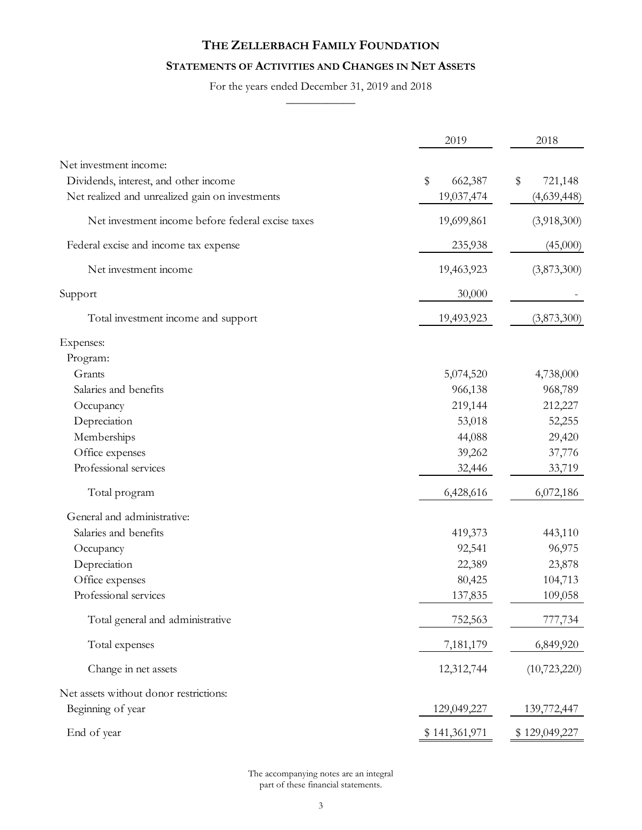## **STATEMENTS OF ACTIVITIES AND CHANGES IN NET ASSETS**

For the years ended December 31, 2019 and 2018  $\overline{\phantom{a}}$ 

|                                                   | 2019          | 2018          |
|---------------------------------------------------|---------------|---------------|
| Net investment income:                            |               |               |
| Dividends, interest, and other income             | \$<br>662,387 | \$<br>721,148 |
| Net realized and unrealized gain on investments   | 19,037,474    | (4,639,448)   |
| Net investment income before federal excise taxes | 19,699,861    | (3,918,300)   |
| Federal excise and income tax expense             | 235,938       | (45,000)      |
| Net investment income                             | 19,463,923    | (3,873,300)   |
| Support                                           | 30,000        |               |
| Total investment income and support               | 19,493,923    | (3,873,300)   |
| Expenses:                                         |               |               |
| Program:                                          |               |               |
| Grants                                            | 5,074,520     | 4,738,000     |
| Salaries and benefits                             | 966,138       | 968,789       |
| Occupancy                                         | 219,144       | 212,227       |
| Depreciation                                      | 53,018        | 52,255        |
| Memberships                                       | 44,088        | 29,420        |
| Office expenses                                   | 39,262        | 37,776        |
| Professional services                             | 32,446        | 33,719        |
| Total program                                     | 6,428,616     | 6,072,186     |
| General and administrative:                       |               |               |
| Salaries and benefits                             | 419,373       | 443,110       |
| Occupancy                                         | 92,541        | 96,975        |
| Depreciation                                      | 22,389        | 23,878        |
| Office expenses                                   | 80,425        | 104,713       |
| Professional services                             | 137,835       | 109,058       |
| Total general and administrative                  | 752,563       | 777,734       |
| Total expenses                                    | 7,181,179     | 6,849,920     |
| Change in net assets                              | 12,312,744    | (10,723,220)  |
| Net assets without donor restrictions:            |               |               |
| Beginning of year                                 | 129,049,227   | 139,772,447   |
| End of year                                       | \$141,361,971 | \$129,049,227 |

The accompanying notes are an integral part of these financial statements.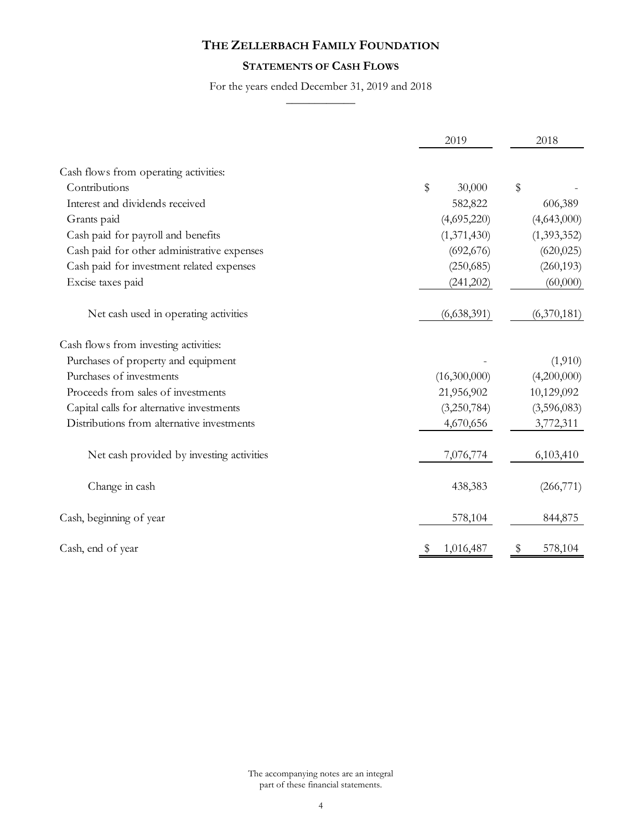# **STATEMENTS OF CASH FLOWS**

For the years ended December 31, 2019 and 2018  $\overline{\phantom{a}}$ 

|                                             | 2019           | 2018         |
|---------------------------------------------|----------------|--------------|
| Cash flows from operating activities:       |                |              |
| Contributions                               | \$<br>30,000   |              |
|                                             |                | \$           |
| Interest and dividends received             | 582,822        | 606,389      |
| Grants paid                                 | (4,695,220)    | (4,643,000)  |
| Cash paid for payroll and benefits          | (1,371,430)    | (1,393,352)  |
| Cash paid for other administrative expenses | (692, 676)     | (620, 025)   |
| Cash paid for investment related expenses   | (250, 685)     | (260, 193)   |
| Excise taxes paid                           | (241,202)      | (60,000)     |
| Net cash used in operating activities       | (6,638,391)    | (6,370,181)  |
| Cash flows from investing activities:       |                |              |
| Purchases of property and equipment         |                | (1,910)      |
| Purchases of investments                    | (16,300,000)   | (4,200,000)  |
| Proceeds from sales of investments          | 21,956,902     | 10,129,092   |
| Capital calls for alternative investments   | (3,250,784)    | (3,596,083)  |
| Distributions from alternative investments  | 4,670,656      | 3,772,311    |
| Net cash provided by investing activities   | 7,076,774      | 6,103,410    |
| Change in cash                              | 438,383        | (266,771)    |
| Cash, beginning of year                     | 578,104        | 844,875      |
| Cash, end of year                           | 1,016,487<br>S | 578,104<br>S |

The accompanying notes are an integral part of these financial statements.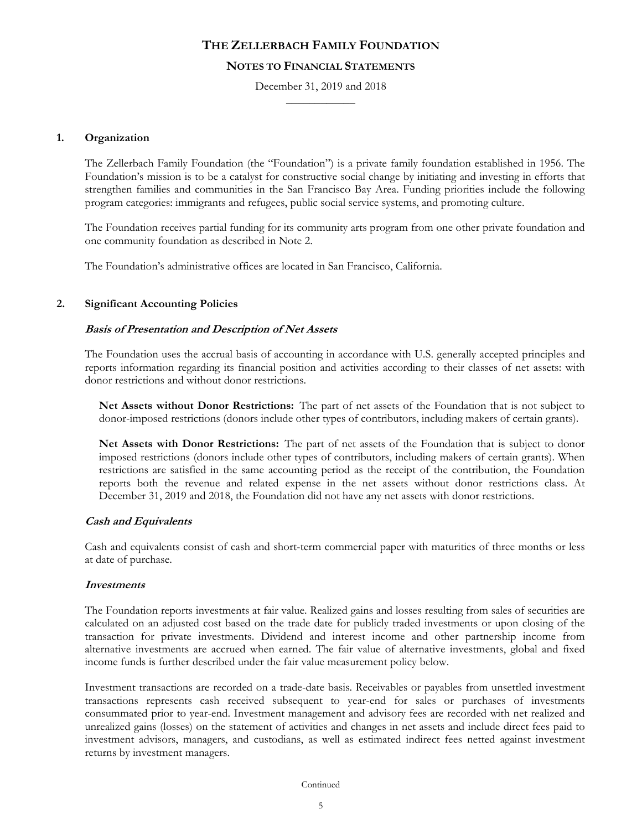### **NOTES TO FINANCIAL STATEMENTS**

December 31, 2019 and 2018  $\frac{1}{2}$ 

### **1. Organization**

The Zellerbach Family Foundation (the "Foundation") is a private family foundation established in 1956. The Foundation's mission is to be a catalyst for constructive social change by initiating and investing in efforts that strengthen families and communities in the San Francisco Bay Area. Funding priorities include the following program categories: immigrants and refugees, public social service systems, and promoting culture.

The Foundation receives partial funding for its community arts program from one other private foundation and one community foundation as described in Note 2.

The Foundation's administrative offices are located in San Francisco, California.

### **2. Significant Accounting Policies**

### **Basis of Presentation and Description of Net Assets**

The Foundation uses the accrual basis of accounting in accordance with U.S. generally accepted principles and reports information regarding its financial position and activities according to their classes of net assets: with donor restrictions and without donor restrictions.

**Net Assets without Donor Restrictions:** The part of net assets of the Foundation that is not subject to donor-imposed restrictions (donors include other types of contributors, including makers of certain grants).

**Net Assets with Donor Restrictions:** The part of net assets of the Foundation that is subject to donor imposed restrictions (donors include other types of contributors, including makers of certain grants). When restrictions are satisfied in the same accounting period as the receipt of the contribution, the Foundation reports both the revenue and related expense in the net assets without donor restrictions class. At December 31, 2019 and 2018, the Foundation did not have any net assets with donor restrictions.

### **Cash and Equivalents**

Cash and equivalents consist of cash and short-term commercial paper with maturities of three months or less at date of purchase.

### **Investments**

The Foundation reports investments at fair value. Realized gains and losses resulting from sales of securities are calculated on an adjusted cost based on the trade date for publicly traded investments or upon closing of the transaction for private investments. Dividend and interest income and other partnership income from alternative investments are accrued when earned. The fair value of alternative investments, global and fixed income funds is further described under the fair value measurement policy below.

Investment transactions are recorded on a trade-date basis. Receivables or payables from unsettled investment transactions represents cash received subsequent to year-end for sales or purchases of investments consummated prior to year-end. Investment management and advisory fees are recorded with net realized and unrealized gains (losses) on the statement of activities and changes in net assets and include direct fees paid to investment advisors, managers, and custodians, as well as estimated indirect fees netted against investment returns by investment managers.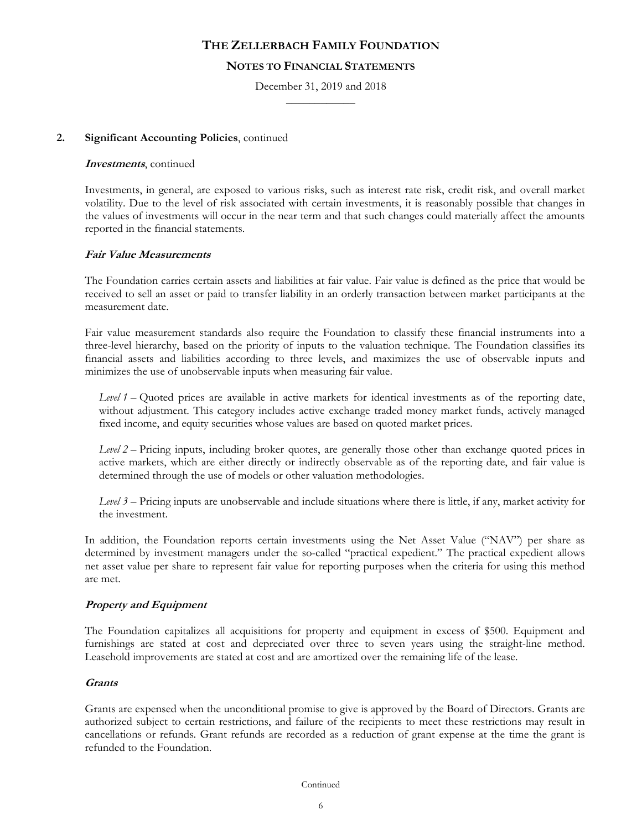### **NOTES TO FINANCIAL STATEMENTS**

December 31, 2019 and 2018  $\frac{1}{2}$ 

### **2. Significant Accounting Policies**, continued

#### **Investments**, continued

Investments, in general, are exposed to various risks, such as interest rate risk, credit risk, and overall market volatility. Due to the level of risk associated with certain investments, it is reasonably possible that changes in the values of investments will occur in the near term and that such changes could materially affect the amounts reported in the financial statements.

### **Fair Value Measurements**

The Foundation carries certain assets and liabilities at fair value. Fair value is defined as the price that would be received to sell an asset or paid to transfer liability in an orderly transaction between market participants at the measurement date.

Fair value measurement standards also require the Foundation to classify these financial instruments into a three-level hierarchy, based on the priority of inputs to the valuation technique. The Foundation classifies its financial assets and liabilities according to three levels, and maximizes the use of observable inputs and minimizes the use of unobservable inputs when measuring fair value.

*Level 1* – Quoted prices are available in active markets for identical investments as of the reporting date, without adjustment. This category includes active exchange traded money market funds, actively managed fixed income, and equity securities whose values are based on quoted market prices.

*Level 2* – Pricing inputs, including broker quotes, are generally those other than exchange quoted prices in active markets, which are either directly or indirectly observable as of the reporting date, and fair value is determined through the use of models or other valuation methodologies.

*Level 3* – Pricing inputs are unobservable and include situations where there is little, if any, market activity for the investment.

In addition, the Foundation reports certain investments using the Net Asset Value ("NAV") per share as determined by investment managers under the so-called "practical expedient." The practical expedient allows net asset value per share to represent fair value for reporting purposes when the criteria for using this method are met.

### **Property and Equipment**

The Foundation capitalizes all acquisitions for property and equipment in excess of \$500. Equipment and furnishings are stated at cost and depreciated over three to seven years using the straight-line method. Leasehold improvements are stated at cost and are amortized over the remaining life of the lease.

### **Grants**

Grants are expensed when the unconditional promise to give is approved by the Board of Directors. Grants are authorized subject to certain restrictions, and failure of the recipients to meet these restrictions may result in cancellations or refunds. Grant refunds are recorded as a reduction of grant expense at the time the grant is refunded to the Foundation.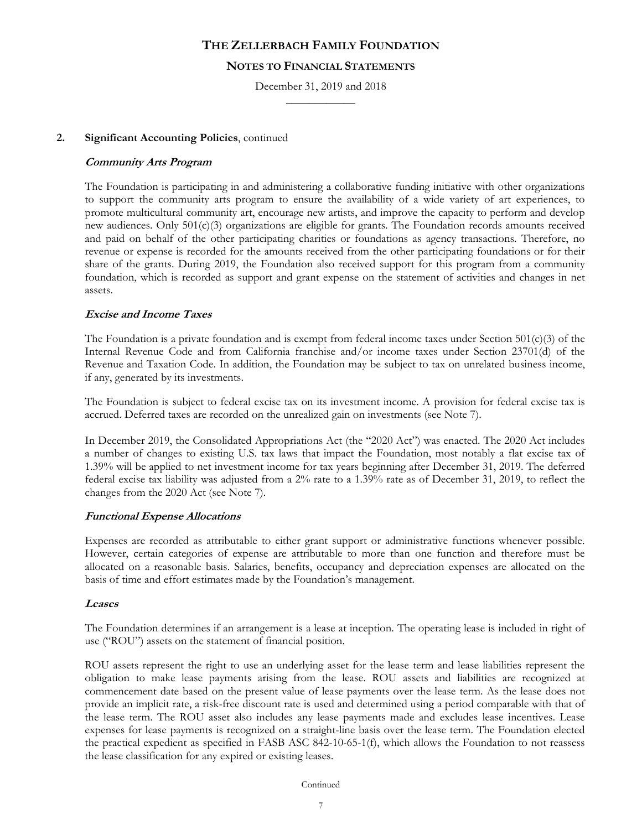### **NOTES TO FINANCIAL STATEMENTS**

December 31, 2019 and 2018  $\frac{1}{2}$ 

### **2. Significant Accounting Policies**, continued

### **Community Arts Program**

The Foundation is participating in and administering a collaborative funding initiative with other organizations to support the community arts program to ensure the availability of a wide variety of art experiences, to promote multicultural community art, encourage new artists, and improve the capacity to perform and develop new audiences. Only 501(c)(3) organizations are eligible for grants. The Foundation records amounts received and paid on behalf of the other participating charities or foundations as agency transactions. Therefore, no revenue or expense is recorded for the amounts received from the other participating foundations or for their share of the grants. During 2019, the Foundation also received support for this program from a community foundation, which is recorded as support and grant expense on the statement of activities and changes in net assets.

### **Excise and Income Taxes**

The Foundation is a private foundation and is exempt from federal income taxes under Section  $501(c)(3)$  of the Internal Revenue Code and from California franchise and/or income taxes under Section 23701(d) of the Revenue and Taxation Code. In addition, the Foundation may be subject to tax on unrelated business income, if any, generated by its investments.

The Foundation is subject to federal excise tax on its investment income. A provision for federal excise tax is accrued. Deferred taxes are recorded on the unrealized gain on investments (see Note 7).

In December 2019, the Consolidated Appropriations Act (the "2020 Act") was enacted. The 2020 Act includes a number of changes to existing U.S. tax laws that impact the Foundation, most notably a flat excise tax of 1.39% will be applied to net investment income for tax years beginning after December 31, 2019. The deferred federal excise tax liability was adjusted from a 2% rate to a 1.39% rate as of December 31, 2019, to reflect the changes from the 2020 Act (see Note 7).

### **Functional Expense Allocations**

Expenses are recorded as attributable to either grant support or administrative functions whenever possible. However, certain categories of expense are attributable to more than one function and therefore must be allocated on a reasonable basis. Salaries, benefits, occupancy and depreciation expenses are allocated on the basis of time and effort estimates made by the Foundation's management.

### **Leases**

The Foundation determines if an arrangement is a lease at inception. The operating lease is included in right of use ("ROU") assets on the statement of financial position.

ROU assets represent the right to use an underlying asset for the lease term and lease liabilities represent the obligation to make lease payments arising from the lease. ROU assets and liabilities are recognized at commencement date based on the present value of lease payments over the lease term. As the lease does not provide an implicit rate, a risk-free discount rate is used and determined using a period comparable with that of the lease term. The ROU asset also includes any lease payments made and excludes lease incentives. Lease expenses for lease payments is recognized on a straight-line basis over the lease term. The Foundation elected the practical expedient as specified in FASB ASC 842-10-65-1(f), which allows the Foundation to not reassess the lease classification for any expired or existing leases.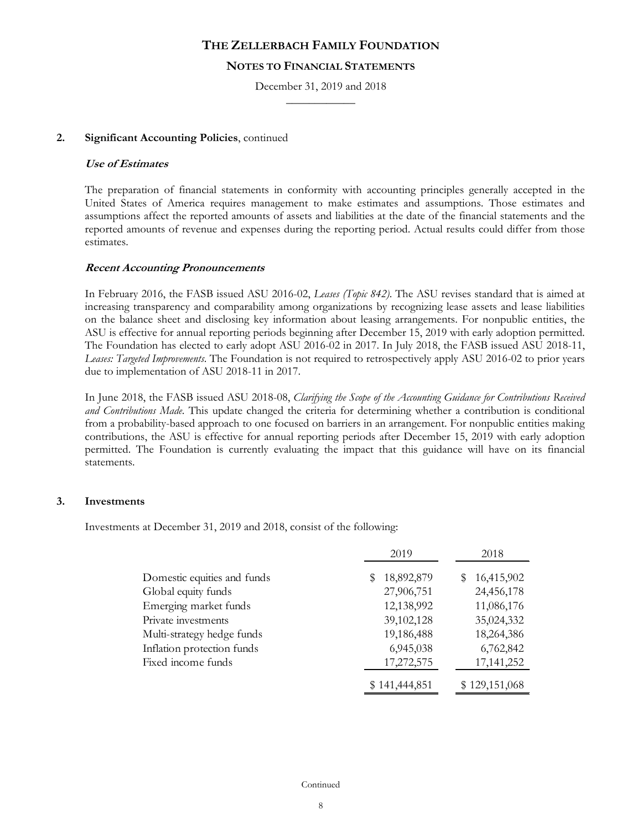### **NOTES TO FINANCIAL STATEMENTS**

December 31, 2019 and 2018  $\frac{1}{2}$ 

### **2. Significant Accounting Policies**, continued

### **Use of Estimates**

The preparation of financial statements in conformity with accounting principles generally accepted in the United States of America requires management to make estimates and assumptions. Those estimates and assumptions affect the reported amounts of assets and liabilities at the date of the financial statements and the reported amounts of revenue and expenses during the reporting period. Actual results could differ from those estimates.

### **Recent Accounting Pronouncements**

In February 2016, the FASB issued ASU 2016-02, *Leases (Topic 842)*. The ASU revises standard that is aimed at increasing transparency and comparability among organizations by recognizing lease assets and lease liabilities on the balance sheet and disclosing key information about leasing arrangements. For nonpublic entities, the ASU is effective for annual reporting periods beginning after December 15, 2019 with early adoption permitted. The Foundation has elected to early adopt ASU 2016-02 in 2017. In July 2018, the FASB issued ASU 2018-11, *Leases: Targeted Improvements*. The Foundation is not required to retrospectively apply ASU 2016-02 to prior years due to implementation of ASU 2018-11 in 2017.

In June 2018, the FASB issued ASU 2018-08, *Clarifying the Scope of the Accounting Guidance for Contributions Received and Contributions Made*. This update changed the criteria for determining whether a contribution is conditional from a probability-based approach to one focused on barriers in an arrangement. For nonpublic entities making contributions, the ASU is effective for annual reporting periods after December 15, 2019 with early adoption permitted. The Foundation is currently evaluating the impact that this guidance will have on its financial statements.

### **3. Investments**

Investments at December 31, 2019 and 2018, consist of the following:

|                                                    | 2019                           | 2018                            |
|----------------------------------------------------|--------------------------------|---------------------------------|
| Domestic equities and funds<br>Global equity funds | 18,892,879<br>\$<br>27,906,751 | 16,415,902<br>SS.<br>24,456,178 |
| Emerging market funds                              | 12,138,992                     | 11,086,176                      |
| Private investments                                | 39,102,128                     | 35,024,332                      |
| Multi-strategy hedge funds                         | 19,186,488                     | 18,264,386                      |
| Inflation protection funds                         | 6,945,038                      | 6,762,842                       |
| Fixed income funds                                 | 17,272,575                     | 17, 141, 252                    |
|                                                    | \$141,444,851                  | \$129,151,068                   |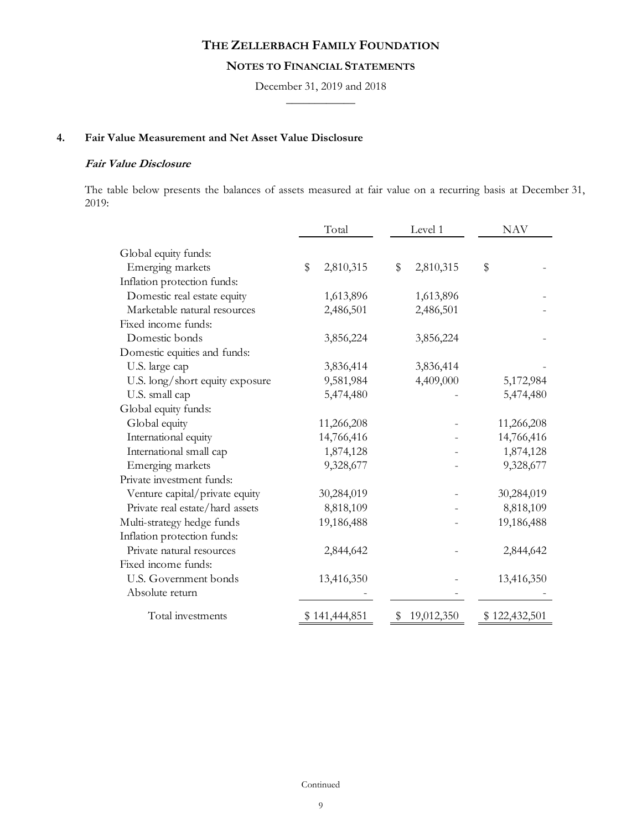### **NOTES TO FINANCIAL STATEMENTS**

December 31, 2019 and 2018  $\frac{1}{2}$ 

### **4. Fair Value Measurement and Net Asset Value Disclosure**

### **Fair Value Disclosure**

The table below presents the balances of assets measured at fair value on a recurring basis at December 31, 2019:

|                                 | Total           | Level 1         |    | <b>NAV</b>    |
|---------------------------------|-----------------|-----------------|----|---------------|
| Global equity funds:            |                 |                 |    |               |
| Emerging markets                | \$<br>2,810,315 | \$<br>2,810,315 | \$ |               |
| Inflation protection funds:     |                 |                 |    |               |
| Domestic real estate equity     | 1,613,896       | 1,613,896       |    |               |
| Marketable natural resources    | 2,486,501       | 2,486,501       |    |               |
| Fixed income funds:             |                 |                 |    |               |
| Domestic bonds                  | 3,856,224       | 3,856,224       |    |               |
| Domestic equities and funds:    |                 |                 |    |               |
| U.S. large cap                  | 3,836,414       | 3,836,414       |    |               |
| U.S. long/short equity exposure | 9,581,984       | 4,409,000       |    | 5,172,984     |
| U.S. small cap                  | 5,474,480       |                 |    | 5,474,480     |
| Global equity funds:            |                 |                 |    |               |
| Global equity                   | 11,266,208      |                 |    | 11,266,208    |
| International equity            | 14,766,416      |                 |    | 14,766,416    |
| International small cap         | 1,874,128       |                 |    | 1,874,128     |
| Emerging markets                | 9,328,677       |                 |    | 9,328,677     |
| Private investment funds:       |                 |                 |    |               |
| Venture capital/private equity  | 30,284,019      |                 |    | 30,284,019    |
| Private real estate/hard assets | 8,818,109       |                 |    | 8,818,109     |
| Multi-strategy hedge funds      | 19,186,488      |                 |    | 19,186,488    |
| Inflation protection funds:     |                 |                 |    |               |
| Private natural resources       | 2,844,642       |                 |    | 2,844,642     |
| Fixed income funds:             |                 |                 |    |               |
| U.S. Government bonds           | 13,416,350      |                 |    | 13,416,350    |
| Absolute return                 |                 |                 |    |               |
|                                 |                 |                 |    |               |
| Total investments               | \$141,444,851   | 19,012,350      |    | \$122,432,501 |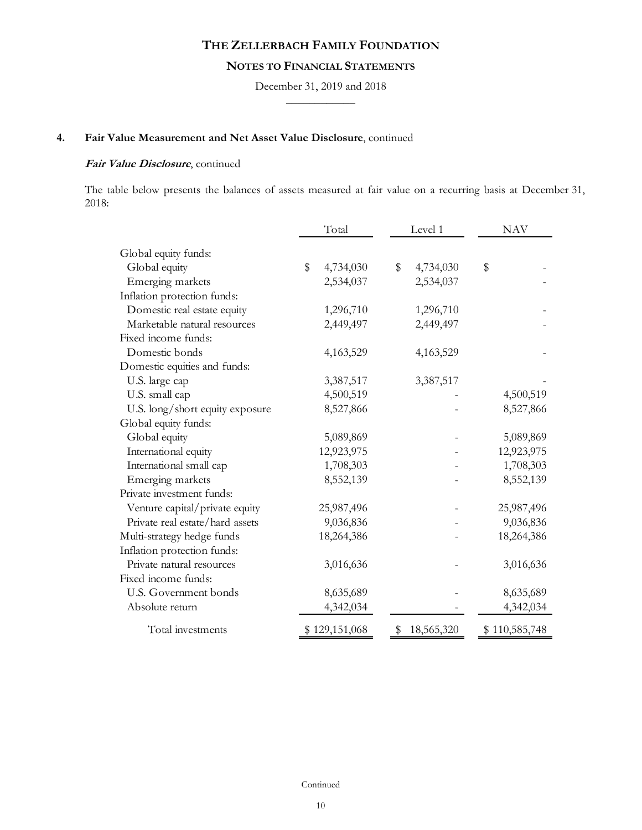### **NOTES TO FINANCIAL STATEMENTS**

December 31, 2019 and 2018  $\frac{1}{2}$ 

### **4. Fair Value Measurement and Net Asset Value Disclosure**, continued

### **Fair Value Disclosure**, continued

The table below presents the balances of assets measured at fair value on a recurring basis at December 31, 2018:

|                                 | Total<br>Level 1 |    | <b>NAV</b> |    |               |
|---------------------------------|------------------|----|------------|----|---------------|
| Global equity funds:            |                  |    |            |    |               |
| Global equity                   | \$<br>4,734,030  | \$ | 4,734,030  | \$ |               |
| Emerging markets                | 2,534,037        |    | 2,534,037  |    |               |
| Inflation protection funds:     |                  |    |            |    |               |
| Domestic real estate equity     | 1,296,710        |    | 1,296,710  |    |               |
| Marketable natural resources    | 2,449,497        |    | 2,449,497  |    |               |
| Fixed income funds:             |                  |    |            |    |               |
| Domestic bonds                  | 4,163,529        |    | 4,163,529  |    |               |
| Domestic equities and funds:    |                  |    |            |    |               |
| U.S. large cap                  | 3,387,517        |    | 3,387,517  |    |               |
| U.S. small cap                  | 4,500,519        |    |            |    | 4,500,519     |
| U.S. long/short equity exposure | 8,527,866        |    |            |    | 8,527,866     |
| Global equity funds:            |                  |    |            |    |               |
| Global equity                   | 5,089,869        |    |            |    | 5,089,869     |
| International equity            | 12,923,975       |    |            |    | 12,923,975    |
| International small cap         | 1,708,303        |    |            |    | 1,708,303     |
| Emerging markets                | 8,552,139        |    |            |    | 8,552,139     |
| Private investment funds:       |                  |    |            |    |               |
| Venture capital/private equity  | 25,987,496       |    |            |    | 25,987,496    |
| Private real estate/hard assets | 9,036,836        |    |            |    | 9,036,836     |
| Multi-strategy hedge funds      | 18,264,386       |    |            |    | 18,264,386    |
| Inflation protection funds:     |                  |    |            |    |               |
| Private natural resources       | 3,016,636        |    |            |    | 3,016,636     |
| Fixed income funds:             |                  |    |            |    |               |
| U.S. Government bonds           | 8,635,689        |    |            |    | 8,635,689     |
| Absolute return                 | 4,342,034        |    |            |    | 4,342,034     |
| Total investments               | \$129,151,068    | \$ | 18,565,320 |    | \$110,585,748 |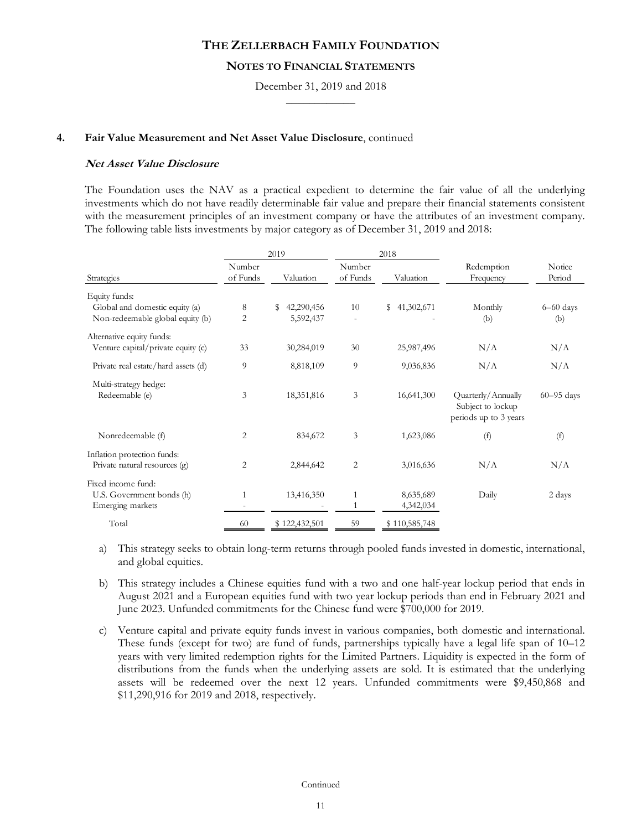### **NOTES TO FINANCIAL STATEMENTS**

December 31, 2019 and 2018  $\frac{1}{2}$ 

#### **4. Fair Value Measurement and Net Asset Value Disclosure**, continued

#### **Net Asset Value Disclosure**

The Foundation uses the NAV as a practical expedient to determine the fair value of all the underlying investments which do not have readily determinable fair value and prepare their financial statements consistent with the measurement principles of an investment company or have the attributes of an investment company. The following table lists investments by major category as of December 31, 2019 and 2018:

|                                                              | 2018<br>2019       |                  |                          |                  |                                                                  |                  |
|--------------------------------------------------------------|--------------------|------------------|--------------------------|------------------|------------------------------------------------------------------|------------------|
| Strategies                                                   | Number<br>of Funds | Valuation        | Number<br>of Funds       | Valuation        | Redemption<br>Frequency                                          | Notice<br>Period |
| Equity funds:                                                |                    |                  |                          |                  |                                                                  |                  |
| Global and domestic equity (a)                               | 8                  | 42,290,456<br>\$ | 10                       | \$<br>41,302,671 | Monthly                                                          | $6 - 60$ days    |
| Non-redeemable global equity (b)                             | $\overline{c}$     | 5,592,437        | $\overline{\phantom{a}}$ |                  | (b)                                                              | (b)              |
| Alternative equity funds:                                    |                    |                  |                          |                  |                                                                  |                  |
| Venture capital/private equity (c)                           | 33                 | 30,284,019       | 30                       | 25,987,496       | N/A                                                              | N/A              |
| Private real estate/hard assets (d)                          | 9                  | 8,818,109        | 9                        | 9,036,836        | N/A                                                              | N/A              |
| Multi-strategy hedge:                                        |                    |                  |                          |                  |                                                                  |                  |
| Redeemable (e)                                               | 3                  | 18,351,816       | 3                        | 16,641,300       | Quarterly/Annually<br>Subject to lockup<br>periods up to 3 years | $60 - 95$ days   |
| Nonredeemable (f)                                            | 2                  | 834,672          | 3                        | 1,623,086        | (f)                                                              | (f)              |
| Inflation protection funds:<br>Private natural resources (g) | $\overline{c}$     | 2,844,642        | 2                        | 3,016,636        | N/A                                                              | N/A              |
| Fixed income fund:                                           |                    |                  |                          |                  |                                                                  |                  |
| U.S. Government bonds (h)                                    | 1                  | 13,416,350       | 1                        | 8,635,689        | Daily                                                            | 2 days           |
| Emerging markets                                             |                    |                  | 1                        | 4,342,034        |                                                                  |                  |
| Total                                                        | 60                 | \$122,432,501    | 59                       | \$110,585,748    |                                                                  |                  |

a) This strategy seeks to obtain long-term returns through pooled funds invested in domestic, international, and global equities.

- b) This strategy includes a Chinese equities fund with a two and one half-year lockup period that ends in August 2021 and a European equities fund with two year lockup periods than end in February 2021 and June 2023. Unfunded commitments for the Chinese fund were \$700,000 for 2019.
- c) Venture capital and private equity funds invest in various companies, both domestic and international. These funds (except for two) are fund of funds, partnerships typically have a legal life span of 10–12 years with very limited redemption rights for the Limited Partners. Liquidity is expected in the form of distributions from the funds when the underlying assets are sold. It is estimated that the underlying assets will be redeemed over the next 12 years. Unfunded commitments were \$9,450,868 and \$11,290,916 for 2019 and 2018, respectively.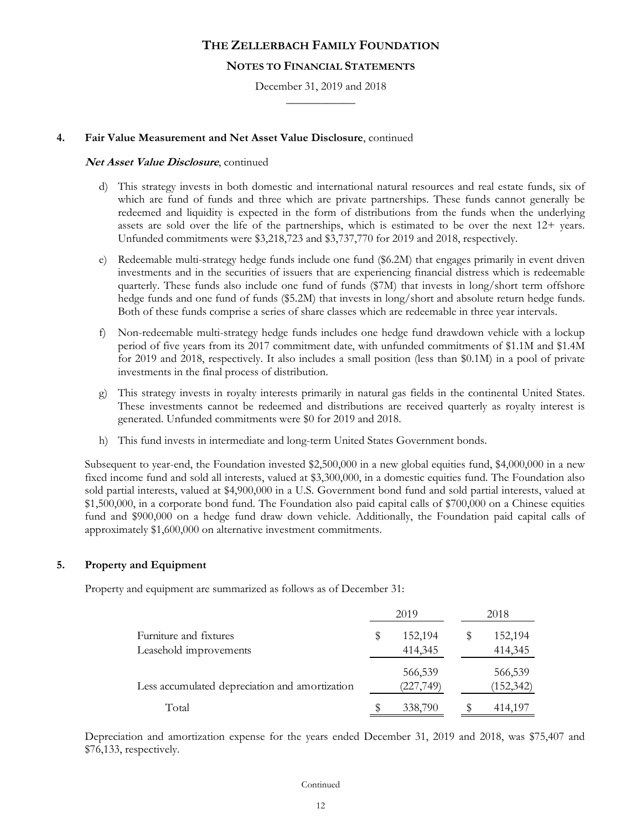### **NOTES TO FINANCIAL STATEMENTS**

December 31, 2019 and 2018  $\frac{1}{2}$ 

### **4. Fair Value Measurement and Net Asset Value Disclosure**, continued

### **Net Asset Value Disclosure**, continued

- d) This strategy invests in both domestic and international natural resources and real estate funds, six of which are fund of funds and three which are private partnerships. These funds cannot generally be redeemed and liquidity is expected in the form of distributions from the funds when the underlying assets are sold over the life of the partnerships, which is estimated to be over the next 12+ years. Unfunded commitments were \$3,218,723 and \$3,737,770 for 2019 and 2018, respectively.
- e) Redeemable multi-strategy hedge funds include one fund (\$6.2M) that engages primarily in event driven investments and in the securities of issuers that are experiencing financial distress which is redeemable quarterly. These funds also include one fund of funds (\$7M) that invests in long/short term offshore hedge funds and one fund of funds (\$5.2M) that invests in long/short and absolute return hedge funds. Both of these funds comprise a series of share classes which are redeemable in three year intervals.
- f) Non-redeemable multi-strategy hedge funds includes one hedge fund drawdown vehicle with a lockup period of five years from its 2017 commitment date, with unfunded commitments of \$1.1M and \$1.4M for 2019 and 2018, respectively. It also includes a small position (less than \$0.1M) in a pool of private investments in the final process of distribution.
- g) This strategy invests in royalty interests primarily in natural gas fields in the continental United States. These investments cannot be redeemed and distributions are received quarterly as royalty interest is generated. Unfunded commitments were \$0 for 2019 and 2018.
- h) This fund invests in intermediate and long-term United States Government bonds.

Subsequent to year-end, the Foundation invested \$2,500,000 in a new global equities fund, \$4,000,000 in a new fixed income fund and sold all interests, valued at \$3,300,000, in a domestic equities fund. The Foundation also sold partial interests, valued at \$4,900,000 in a U.S. Government bond fund and sold partial interests, valued at \$1,500,000, in a corporate bond fund. The Foundation also paid capital calls of \$700,000 on a Chinese equities fund and \$900,000 on a hedge fund draw down vehicle. Additionally, the Foundation paid capital calls of approximately \$1,600,000 on alternative investment commitments.

### **5. Property and Equipment**

Property and equipment are summarized as follows as of December 31:

|                                                  |  | 2019                  | 2018                     |
|--------------------------------------------------|--|-----------------------|--------------------------|
| Furniture and fixtures<br>Leasehold improvements |  | 152,194<br>414,345    | \$<br>152,194<br>414,345 |
| Less accumulated depreciation and amortization   |  | 566,539<br>(227, 749) | 566,539<br>(152, 342)    |
| Total                                            |  | 338,790               | 414,197                  |

Depreciation and amortization expense for the years ended December 31, 2019 and 2018, was \$75,407 and \$76,133, respectively.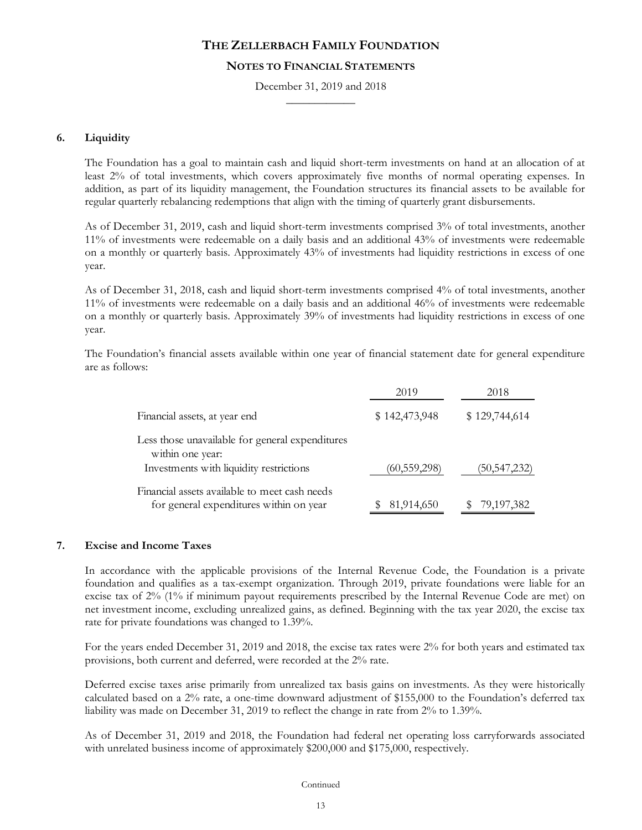### **NOTES TO FINANCIAL STATEMENTS**

December 31, 2019 and 2018  $\frac{1}{2}$ 

### **6. Liquidity**

The Foundation has a goal to maintain cash and liquid short-term investments on hand at an allocation of at least 2% of total investments, which covers approximately five months of normal operating expenses. In addition, as part of its liquidity management, the Foundation structures its financial assets to be available for regular quarterly rebalancing redemptions that align with the timing of quarterly grant disbursements.

As of December 31, 2019, cash and liquid short-term investments comprised 3% of total investments, another 11% of investments were redeemable on a daily basis and an additional 43% of investments were redeemable on a monthly or quarterly basis. Approximately 43% of investments had liquidity restrictions in excess of one year.

As of December 31, 2018, cash and liquid short-term investments comprised 4% of total investments, another 11% of investments were redeemable on a daily basis and an additional 46% of investments were redeemable on a monthly or quarterly basis. Approximately 39% of investments had liquidity restrictions in excess of one year.

The Foundation's financial assets available within one year of financial statement date for general expenditure are as follows:

|                                                                                                                | 2019           | 2018          |
|----------------------------------------------------------------------------------------------------------------|----------------|---------------|
| Financial assets, at year end                                                                                  | \$142,473,948  | \$129,744,614 |
| Less those unavailable for general expenditures<br>within one year:<br>Investments with liquidity restrictions | (60, 559, 298) | (50,547,232)  |
| Financial assets available to meet cash needs<br>for general expenditures within on year                       | 81,914,650     | 79,197,382    |

#### **7. Excise and Income Taxes**

In accordance with the applicable provisions of the Internal Revenue Code, the Foundation is a private foundation and qualifies as a tax-exempt organization. Through 2019, private foundations were liable for an excise tax of 2% (1% if minimum payout requirements prescribed by the Internal Revenue Code are met) on net investment income, excluding unrealized gains, as defined. Beginning with the tax year 2020, the excise tax rate for private foundations was changed to 1.39%.

For the years ended December 31, 2019 and 2018, the excise tax rates were 2% for both years and estimated tax provisions, both current and deferred, were recorded at the 2% rate.

Deferred excise taxes arise primarily from unrealized tax basis gains on investments. As they were historically calculated based on a 2% rate, a one-time downward adjustment of \$155,000 to the Foundation's deferred tax liability was made on December 31, 2019 to reflect the change in rate from 2% to 1.39%.

As of December 31, 2019 and 2018, the Foundation had federal net operating loss carryforwards associated with unrelated business income of approximately \$200,000 and \$175,000, respectively.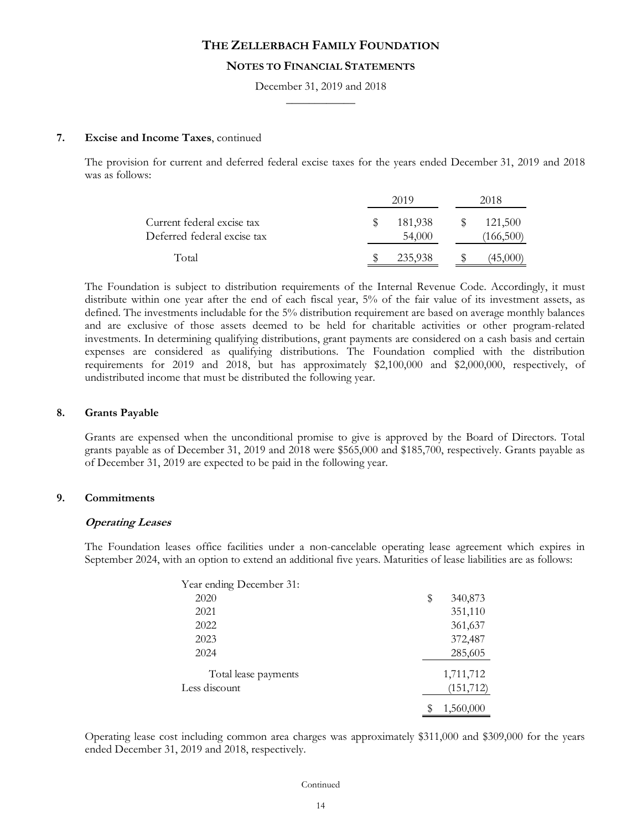### **NOTES TO FINANCIAL STATEMENTS**

December 31, 2019 and 2018  $\frac{1}{2}$ 

#### **7. Excise and Income Taxes**, continued

The provision for current and deferred federal excise taxes for the years ended December 31, 2019 and 2018 was as follows:

|                                                           | 2019 |                   |              | 2018                 |  |
|-----------------------------------------------------------|------|-------------------|--------------|----------------------|--|
| Current federal excise tax<br>Deferred federal excise tax |      | 181,938<br>54,000 | $\mathbb{S}$ | 121,500<br>(166,500) |  |
| Total                                                     |      | 235,938           |              | (45,000)             |  |

The Foundation is subject to distribution requirements of the Internal Revenue Code. Accordingly, it must distribute within one year after the end of each fiscal year, 5% of the fair value of its investment assets, as defined. The investments includable for the 5% distribution requirement are based on average monthly balances and are exclusive of those assets deemed to be held for charitable activities or other program-related investments. In determining qualifying distributions, grant payments are considered on a cash basis and certain expenses are considered as qualifying distributions. The Foundation complied with the distribution requirements for 2019 and 2018, but has approximately \$2,100,000 and \$2,000,000, respectively, of undistributed income that must be distributed the following year.

#### **8. Grants Payable**

Grants are expensed when the unconditional promise to give is approved by the Board of Directors. Total grants payable as of December 31, 2019 and 2018 were \$565,000 and \$185,700, respectively. Grants payable as of December 31, 2019 are expected to be paid in the following year.

### **9. Commitments**

#### **Operating Leases**

The Foundation leases office facilities under a non-cancelable operating lease agreement which expires in September 2024, with an option to extend an additional five years. Maturities of lease liabilities are as follows:

| Year ending December 31: |                 |
|--------------------------|-----------------|
| 2020                     | \$<br>340,873   |
| 2021                     | 351,110         |
| 2022                     | 361,637         |
| 2023                     | 372,487         |
| 2024                     | 285,605         |
| Total lease payments     | 1,711,712       |
| Less discount            | (151, 712)      |
|                          | 1,560,000<br>\$ |

Operating lease cost including common area charges was approximately \$311,000 and \$309,000 for the years ended December 31, 2019 and 2018, respectively.

#### Continued